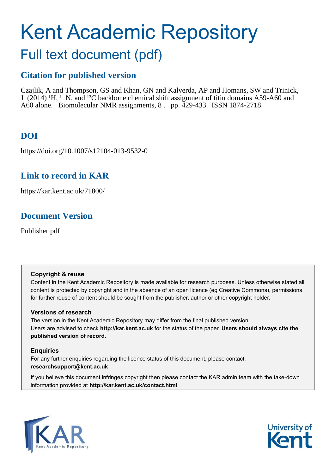# Kent Academic Repository

# Full text document (pdf)

## **Citation for published version**

Czajlik, A and Thompson, GS and Khan, GN and Kalverda, AP and Homans, SW and Trinick, J  $(2014)$  <sup>1</sup>H, <sup>1</sup> N, and <sup>13</sup>C backbone chemical shift assignment of titin domains A59-A60 and A60 alone. Biomolecular NMR assignments, 8 . pp. 429-433. ISSN 1874-2718.

# **DOI**

https://doi.org/10.1007/s12104-013-9532-0

## **Link to record in KAR**

https://kar.kent.ac.uk/71800/

# **Document Version**

Publisher pdf

## **Copyright & reuse**

Content in the Kent Academic Repository is made available for research purposes. Unless otherwise stated all content is protected by copyright and in the absence of an open licence (eg Creative Commons), permissions for further reuse of content should be sought from the publisher, author or other copyright holder.

## **Versions of research**

The version in the Kent Academic Repository may differ from the final published version. Users are advised to check **http://kar.kent.ac.uk** for the status of the paper. **Users should always cite the published version of record.**

## **Enquiries**

For any further enquiries regarding the licence status of this document, please contact: **researchsupport@kent.ac.uk**

If you believe this document infringes copyright then please contact the KAR admin team with the take-down information provided at **http://kar.kent.ac.uk/contact.html**



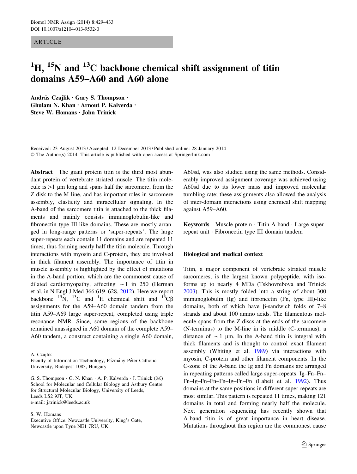#### <span id="page-1-0"></span>**ARTICLE**

# ${}^{1}H$ ,  ${}^{15}N$  and  ${}^{13}C$  backbone chemical shift assignment of titin domains A59–A60 and A60 alone

András Czajlik · Gary S. Thompson · Ghulam N. Khan • Arnout P. Kalverda • Steve W. Homans • John Trinick

Received: 23 August 2013 / Accepted: 12 December 2013 / Published online: 28 January 2014 © The Author(s) 2014. This article is published with open access at Springerlink.com

Abstract The giant protein titin is the third most abundant protein of vertebrate striated muscle. The titin molecule is  $>1$  µm long and spans half the sarcomere, from the Z-disk to the M-line, and has important roles in sarcomere assembly, elasticity and intracellular signaling. In the A-band of the sarcomere titin is attached to the thick filaments and mainly consists immunoglobulin-like and fibronectin type III-like domains. These are mostly arranged in long-range patterns or 'super-repeats'. The large super-repeats each contain 11 domains and are repeated 11 times, thus forming nearly half the titin molecule. Through interactions with myosin and C-protein, they are involved in thick filament assembly. The importance of titin in muscle assembly is highlighted by the effect of mutations in the A-band portion, which are the commonest cause of dilated cardiomyopathy, affecting  $\sim$  1 in 250 (Herman et al. in N Engl J Med 366:619–628, [2012](#page-4-0)). Here we report backbone <sup>15</sup>N, <sup>13</sup>C and <sup>1</sup>H chemical shift and <sup>13</sup>C $\beta$ assignments for the A59–A60 domain tandem from the titin A59–A69 large super-repeat, completed using triple resonance NMR. Since, some regions of the backbone remained unassigned in A60 domain of the complete A59– A60 tandem, a construct containing a single A60 domain,

A. Czajlik

Faculty of Information Technology, Pázmány Péter Catholic University, Budapest 1083, Hungary

S. W. Homans

Executive Office, Newcastle University, King's Gate, Newcastle upon Tyne NE1 7RU, UK

A60sd, was also studied using the same methods. Considerably improved assignment coverage was achieved using A60sd due to its lower mass and improved molecular tumbling rate; these assignments also allowed the analysis of inter-domain interactions using chemical shift mapping against A59–A60.

Keywords Muscle protein · Titin A-band · Large superrepeat unit - Fibronectin type III domain tandem

#### Biological and medical context

Titin, a major component of vertebrate striated muscle sarcomeres, is the largest known polypeptide, with isoforms up to nearly 4 MDa (Tskhovrebova and Trinick [2003](#page-4-0)). This is mostly folded into a string of about 300 immunoglobulin (Ig) and fibronectin (Fn, type III)-like domains, both of which have  $\beta$ -sandwich folds of  $7-8$ strands and about 100 amino acids. The filamentous molecule spans from the Z-discs at the ends of the sarcomere (N-terminus) to the M-line in its middle (C-terminus), a distance of  $\sim$ 1 µm. In the A-band titin is integral with thick filaments and is thought to control exact filament assembly (Whiting et al. [1989\)](#page-4-0) via interactions with myosin, C-protein and other filament components. In the C-zone of the A-band the Ig and Fn domains are arranged in repeating patterns called large super-repeats: Ig–Fn–Fn– Fn–Ig–Fn–Fn–Fn–Ig–Fn–Fn (Labeit et al. [1992](#page-4-0)). Thus domains at the same positions in different super-repeats are most similar. This pattern is repeated 11 times, making 121 domains in total and forming nearly half the molecule. Next generation sequencing has recently shown that A-band titin is of great importance in heart disease. Mutations throughout this region are the commonest cause

G. S. Thompson · G. N. Khan · A. P. Kalverda · J. Trinick ( $\boxtimes$ ) School for Molecular and Cellular Biology and Astbury Centre for Structural Molecular Biology, University of Leeds, Leeds LS2 9JT, UK e-mail: j.trinick@leeds.ac.uk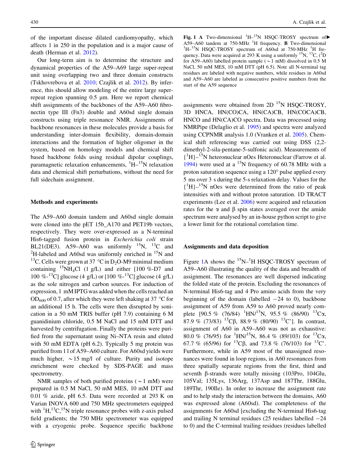of the important disease dilated cardiomyopathy, which affects 1 in 250 in the population and is a major cause of death (Herman et al. [2012\)](#page-4-0).

Our long-term aim is to determine the structure and dynamical properties of the A59–A69 large super-repeat unit using overlapping two and three domain constructs (Tskhovrebova et al. [2010](#page-4-0); Czajlik et al. [2012](#page-4-0)). By inference, this should allow modeling of the entire large superrepeat region spanning  $0.5 \mu m$ . Here we report chemical shift assignments of the backbones of the A59–A60 fibronectin type III (Fn3) double and A60sd single domain constructs using triple resonance NMR. Assignments of backbone resonances in these molecules provide a basis for understanding inter-domain flexibility, domain-domain interactions and the formation of higher oligomer in the system, based on homology models and chemical shift based backbone folds using residual dipolar couplings, paramagnetic relaxation enhancements,  $H^{-15}N$  relaxation data and chemical shift perturbations, without the need for full sidechain assignment.

## Methods and experiments

The A59–A60 domain tandem and A60sd single domain were cloned into the pET 15b\_A170 and PET19b vectors, respectively. They were over-expressed as a N-terminal His6-tagged fusion protein in Escherichia coli strain BL21(DE3). A59-A60 was uniformly  $^{15}N$ ,  $^{13}C$  and <sup>2</sup>H-labeled and A60sd was uniformly enriched in  $15N$  and <sup>13</sup>C. Cells were grown at 37 °C in D<sub>2</sub>O-M9 minimal medium containing <sup>15</sup>NH<sub>4</sub>Cl (1 g/L) and either [100 %-D7 and 100 %-<sup>13</sup>C] glucose (4 g/L) or [100 %-<sup>13</sup>C] glucose (4 g/L) as the sole nitrogen and carbon sources. For induction of expression, 1 mM IPTG was added when the cells reached an OD<sub>600</sub> of 0.7, after which they were left shaking at 37 °C for an additional 15 h. The cells were then disrupted by sonication in a 50 mM TRIS buffer (pH 7.9) containing 6 M guanidinium chloride, 0.5 M NaCl and 15 mM DTT and harvested by centrifugation. Finally the proteins were purified from the supernatant using Ni–NTA resin and eluted with 50 mM EDTA (pH 6.2). Typically 5 mg protein was purified from 1 l of A59–A60 culture. For A60sd yields were much higher,  $\sim$  15 mg/l of culture. Purity and isotope enrichment were checked by SDS-PAGE and mass spectrometry.

NMR samples of both purified proteins ( $\sim$ 1 mM) were prepared in 0.5 M NaCl, 50 mM MES, 10 mM DTT and 0.01 % azide, pH 6.5. Data were recorded at 293 K on Varian INOVA 600 and 750 MHz spectrometers equipped with  ${}^{1}H, {}^{13}C, {}^{15}N$  triple resonance probes with z-axis pulsed field gradients; the 750 MHz spectrometer was equipped with a cryogenic probe. Sequence specific backbone

Fig. 1 A Two-dimensional  ${}^{1}H-{}^{15}N$  HSQC-TROSY spectrum of A59-A60 tandem at 750-MHz  $^{1}$ H frequency. **B** Two-dimensional  $1\text{H}$ <sup>15</sup>N HSQC-TROSY spectrum of A60sd at 750-MHz <sup>1</sup>H frequency. Data were acquired at 293 K using a uniformly <sup>15</sup>N, <sup>13</sup>C,  $(^{2}D)$ for A59–A60) labelled protein sample ( $\sim$ 1 mM) dissolved in 0.5 M NaCl, 50 mM MES, 10 mM DTT (pH 6.5). Note all N-terminal tag residues are labeled with negative numbers, while residues in A60sd and A59–A60 are labeled as consecutive positive numbers from the start of the A59 sequence

assignments were obtained from  $2D<sup>15</sup>N$  HSQC-TROSY, 3D HNCA, HN(CO)CA, HN(CA)CB, HN(COCA)CB, HNCO and HN(CA)CO spectra. Data was processed using NMRPipe (Delaglio et al. [1995](#page-4-0)) and spectra were analyzed using CCPNMR analysis 1.0 (Vranken et al. [2005](#page-4-0)). Chemical shift referencing was carried out using DSS (2,2 dimethyl-2-sila-pentane-5-sulfonic acid). Measurements of { <sup>1</sup>H}–15N heteronuclear nOes Heteronuclear (Farrow et al. [1994](#page-4-0)) were used at a  $^{15}N$  frequency of 60.78 MHz with a proton saturation sequence using a  $120^{\circ}$  pulse applied every 5 ms over 3 s during the 5-s relaxation delay. Values for the  ${^{1}H}$  $-{}^{15}N$  nOes were determined from the ratio of peak intensities with and without proton saturation. 1D TRACT experiments (Lee et al. [2006](#page-4-0)) were acquired and relaxation rates for the  $\alpha$  and  $\beta$  spin states averaged over the amide spectrum were analysed by an in-house python script to give a lower limit for the rotational correlation time.

## Assignments and data deposition

Figure [1](#page-1-0)A shows the  ${}^{15}N-{}^{1}H$  HSQC-TROSY spectrum of A59–A60 illustrating the quality of the data and breadth of assignment. The resonances are well dispersed indicating the folded state of the protein. Excluding the resonances of N-terminal His6-tag and 4 Pro amino acids from the very beginning of the domain (labelled  $-24$  to 0), backbone assignment of A59 from A59 to A60 proved nearly complete [90.5 % (76/84)  $^{1}$ HN/<sup>15</sup>N, 95.5 % (86/90)  $^{13}$ C $\alpha$ , 87.9 % (73/83) <sup>13</sup>C $\beta$ , 88.9 % (80/90) <sup>13</sup>C']. In contrast, assignment of A60 in A59–A60 was not as exhaustive: 80.0 % (76/95) for  $\rm HIN/$ <sup>15</sup>N, 86.4 % (89/103) for  $\rm ^{13}Ca$ , 67.7 % (65/96) for <sup>13</sup>C $\beta$ , and 73.8 % (76/103) for <sup>13</sup>C'. Furthermore, while in A59 most of the unassigned resonances were found in loop regions, in A60 resonances from three spatially separate regions from the first, third and seventh  $\beta$ -strands were totally missing (103Pro, 104Glu, 105Val; 135Lys, 136Arg, 137Asp and 187Thr, 188Glu, 189Thr, 190Ile). In order to increase the assignment rate and to help study the interaction between the domains, A60 was expressed alone (A60sd). The completeness of the assignments for A60sd [excluding the N-terminal His6-tag and trailing N terminal residues (25 residues labelled  $-24$ to 0) and the C-terminal trailing residues (residues labelled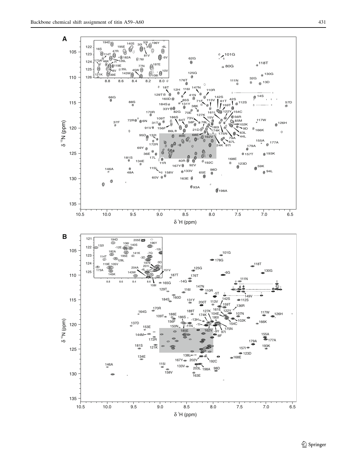<span id="page-3-0"></span>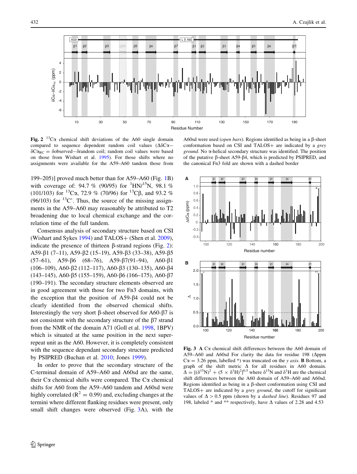<span id="page-4-0"></span>

Fig. 2  $^{13}$ C $\alpha$  chemical shift deviations of the A60 single domain compared to sequence dependent random coil values  $(\Delta \delta C\alpha \delta C\alpha_{BC} = \delta$ observed- $\delta$ random coil; random coil values were based on those from Wishart et al. 1995). For those shifts where no assignments were available for the A59–A60 tandem those from

199–205)] proved much better than for A59–A60 (Fig. [1](#page-1-0)B) with coverage of: 94.7 % (90/95) for  $1H N^{15} N$ , 98.1 % (101/103) for  ${}^{13}$ C $\alpha$ , 72.9 % (70/96) for  ${}^{13}$ C $\beta$ , and 93.2 % (96/103) for  ${}^{13}C'$ . Thus, the source of the missing assignments in the A59–A60 may reasonably be attributed to T2 broadening due to local chemical exchange and the correlation time of the full tandem.

Consensus analysis of secondary structure based on CSI (Wishart and Sykes  $1994$ ) and TALOS + (Shen et al. 2009), indicate the presence of thirteen  $\beta$ -strand regions (Fig. [2](#page-3-0)): A59- $\beta$ 1 (7–11), A59- $\beta$ 2 (15–19), A59- $\beta$ 3 (33–38), A59- $\beta$ 5  $(57-61)$ , A59- $\beta$ 6  $(68-76)$ , A59- $\beta$ 7(91-94), A60- $\beta$ 1 (106–109), A60-b2 (112–117), A60-b3 (130–135), A60-b4 ( $143-145$ ), A60- $\beta$ 5 ( $155-159$ ), A60- $\beta$ 6 ( $166-175$ ), A60- $\beta$ 7 (190–191). The secondary structure elements observed are in good agreement with those for two Fn3 domains, with the exception that the position of  $A59-\beta4$  could not be clearly identified from the observed chemical shifts. Interestingly the very short  $\beta$ -sheet observed for A60- $\beta$ 7 is not consistent with the secondary structure of the  $\beta$ 7 strand from the NMR of the domain A71 (Goll et al. 1998, 1BPV) which is situated at the same position in the next superrepeat unit as the A60. However, it is completely consistent with the sequence dependant secondary structure predicted by PSIPRED (Buchan et al. 2010; Jones 1999).

In order to prove that the secondary structure of the C-terminal domain of A59–A60 and A60sd are the same, their  $C\alpha$  chemical shifts were compared. The  $C\alpha$  chemical shifts for A60 from the A59–A60 tandem and A60sd were highly correlated ( $R^2 = 0.99$ ) and, excluding changes at the termini where different flanking residues were present, only small shift changes were observed (Fig. [3A](#page-3-0)), with the

A60sd were used (open bars). Regions identified as being in a  $\beta$ -sheet conformation based on CSI and TALOS $+$  are indicated by a grey ground. No a-helical secondary structure was identified. The position of the putative  $\beta$ -sheet A59- $\beta$ 4, which is predicted by PSIPRED, and the canonical Fn3 fold are shown with a dashed border



Fig. 3 A C $\alpha$  chemical shift differences between the A60 domain of A59–A60 and A60sd For clarity the data for residue 198 ( $\Delta$ ppm  $C\alpha = 3.26$  ppm, labelled \*) was truncated on the y *axis*. **B** Bottom, a graph of the shift metric  $\Delta$  for all residues in A60 domain.  $\Delta = [(\delta^{15}N)^2 + (5 \times \delta^1H)^2]^{0.5}$  where  $\delta^{15}N$  and  $\delta^1H$  are the chemical shift differences between the A60 domain of A59–A60 and A60sd. Regions identified as being in a  $\beta$ -sheet conformation using CSI and TALOS $+$  are indicated by a grey ground, the cutoff for significant values of  $\Delta > 0.5$  ppm (shown by a *dashed line*). Residues 97 and 198, labeled \* and \*\* respectively, have  $\Delta$  values of 2.28 and 4.53